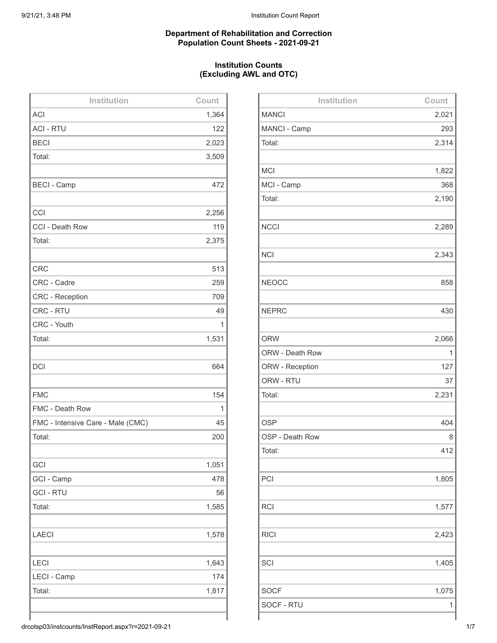#### **Department of Rehabilitation and Correction Population Count Sheets - 2021-09-21**

#### **Institution Counts (Excluding AWL and OTC)**

| Institution                       | Count |
|-----------------------------------|-------|
| <b>ACI</b>                        | 1,364 |
| <b>ACI - RTU</b>                  | 122   |
| <b>BECI</b>                       | 2,023 |
| Total:                            | 3,509 |
|                                   |       |
| <b>BECI - Camp</b>                | 472   |
|                                   |       |
| CCI                               | 2,256 |
| CCI - Death Row                   | 119   |
| Total:                            | 2,375 |
|                                   |       |
| <b>CRC</b>                        | 513   |
| CRC - Cadre                       | 259   |
| <b>CRC</b> - Reception            | 709   |
| CRC - RTU                         | 49    |
| CRC - Youth                       | 1     |
| Total:                            | 1,531 |
|                                   |       |
| <b>DCI</b>                        | 664   |
|                                   |       |
| <b>FMC</b>                        | 154   |
| FMC - Death Row                   | 1     |
| FMC - Intensive Care - Male (CMC) | 45    |
| Total:                            | 200   |
|                                   |       |
| GCI                               | 1,051 |
| GCI - Camp                        | 478   |
| <b>GCI - RTU</b>                  | 56    |
| Total:                            | 1,585 |
|                                   |       |
| <b>LAECI</b>                      | 1,578 |
|                                   |       |
| LECI                              | 1,643 |
| LECI - Camp                       | 174   |
| Total:                            | 1,817 |
|                                   |       |
|                                   |       |

| Institution     | Count |
|-----------------|-------|
| <b>MANCI</b>    | 2,021 |
| MANCI - Camp    | 293   |
| Total:          | 2,314 |
|                 |       |
| <b>MCI</b>      | 1,822 |
| MCI - Camp      | 368   |
| Total:          | 2,190 |
|                 |       |
| <b>NCCI</b>     | 2,289 |
|                 |       |
| <b>NCI</b>      | 2,343 |
|                 |       |
| <b>NEOCC</b>    | 858   |
|                 |       |
| <b>NEPRC</b>    | 430   |
|                 |       |
| <b>ORW</b>      | 2,066 |
| ORW - Death Row | 1     |
| ORW - Reception | 127   |
| ORW - RTU       | 37    |
| Total:          | 2,231 |
|                 |       |
| <b>OSP</b>      | 404   |
| OSP - Death Row | 8     |
| Total:          | 412   |
|                 |       |
| PCI             | 1,805 |
|                 |       |
| <b>RCI</b>      | 1,577 |
|                 |       |
| <b>RICI</b>     | 2,423 |
|                 |       |
| SCI             | 1,405 |
|                 |       |
| <b>SOCF</b>     | 1,075 |
| SOCF - RTU      | 1     |
|                 |       |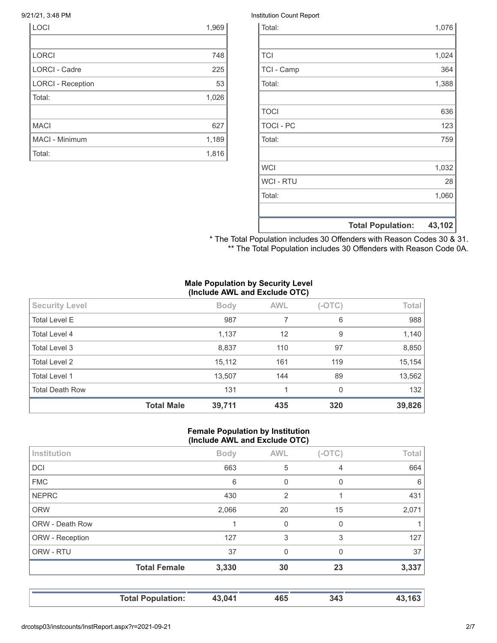| <b>LOCI</b>              | 1,969 |
|--------------------------|-------|
|                          |       |
| <b>LORCI</b>             | 748   |
| <b>LORCI - Cadre</b>     | 225   |
| <b>LORCI - Reception</b> | 53    |
| Total:                   | 1,026 |
|                          |       |
| <b>MACI</b>              | 627   |
| MACI - Minimum           | 1,189 |
| Total:                   | 1,816 |

#### 9/21/21, 3:48 PM Institution Count Report

|                  | <b>Total Population:</b> | 43,102 |
|------------------|--------------------------|--------|
|                  |                          |        |
| Total:           |                          | 1,060  |
| <b>WCI-RTU</b>   |                          | 28     |
| <b>WCI</b>       |                          | 1,032  |
|                  |                          |        |
| Total:           |                          | 759    |
| <b>TOCI - PC</b> |                          | 123    |
| <b>TOCI</b>      |                          | 636    |
|                  |                          |        |
| Total:           |                          | 1,388  |
| TCI - Camp       |                          | 364    |
| <b>TCI</b>       |                          | 1,024  |
|                  |                          |        |
| Total:           |                          | 1,076  |

\* The Total Population includes 30 Offenders with Reason Codes 30 & 31. \*\* The Total Population includes 30 Offenders with Reason Code 0A.

#### **Male Population by Security Level (Include AWL and Exclude OTC)**

| <b>Security Level</b>  |                   | <b>Body</b> | <b>AWL</b> | $(-OTC)$ | Total  |
|------------------------|-------------------|-------------|------------|----------|--------|
| <b>Total Level E</b>   |                   | 987         |            | 6        | 988    |
| Total Level 4          |                   | 1,137       | 12         | 9        | 1,140  |
| Total Level 3          |                   | 8,837       | 110        | 97       | 8,850  |
| Total Level 2          |                   | 15,112      | 161        | 119      | 15,154 |
| Total Level 1          |                   | 13,507      | 144        | 89       | 13,562 |
| <b>Total Death Row</b> |                   | 131         |            | 0        | 132    |
|                        | <b>Total Male</b> | 39,711      | 435        | 320      | 39,826 |

#### **Female Population by Institution (Include AWL and Exclude OTC)**

| Institution            |                     | <b>Body</b> | <b>AWL</b>  | $(-OTC)$ | Total |
|------------------------|---------------------|-------------|-------------|----------|-------|
| <b>DCI</b>             |                     | 663         | 5           | 4        | 664   |
| <b>FMC</b>             |                     | 6           | $\mathbf 0$ | 0        | 6     |
| <b>NEPRC</b>           |                     | 430         | 2           |          | 431   |
| <b>ORW</b>             |                     | 2,066       | 20          | 15       | 2,071 |
| <b>ORW - Death Row</b> |                     |             | 0           | 0        |       |
| ORW - Reception        |                     | 127         | 3           | 3        | 127   |
| ORW - RTU              |                     | 37          | $\mathbf 0$ | $\Omega$ | 37    |
|                        | <b>Total Female</b> | 3,330       | 30          | 23       | 3,337 |
|                        |                     |             |             |          |       |

**Total Population: 43,041 465 343 43,163**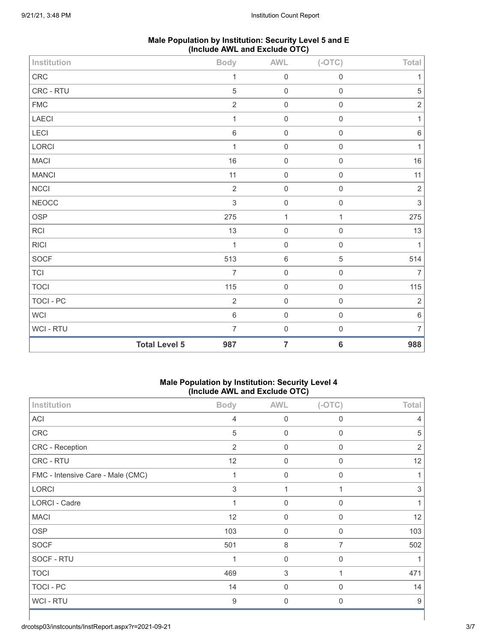| Male Population by Institution: Security Level 5 and E |  |
|--------------------------------------------------------|--|
| (Include AWL and Exclude OTC)                          |  |

| Institution  |                      | <b>Body</b>    | <b>AWL</b>          | $(-OTC)$     | Total          |
|--------------|----------------------|----------------|---------------------|--------------|----------------|
| ${\sf CRC}$  |                      | $\mathbf{1}$   | $\mathbf 0$         | $\mathbf 0$  | $\mathbf{1}$   |
| CRC - RTU    |                      | $\sqrt{5}$     | $\mathbf 0$         | $\mathbf 0$  | $\mathbf 5$    |
| <b>FMC</b>   |                      | $\overline{2}$ | $\mathsf{O}\xspace$ | $\mathbf 0$  | $\sqrt{2}$     |
| LAECI        |                      | $\mathbf{1}$   | $\mathbf 0$         | $\mathbf 0$  | $\mathbf{1}$   |
| LECI         |                      | $\,6\,$        | $\mathbf 0$         | $\mathbf 0$  | $\,6\,$        |
| LORCI        |                      | 1              | $\mathbf 0$         | $\mathbf 0$  | $\mathbf{1}$   |
| <b>MACI</b>  |                      | 16             | $\mathbf 0$         | $\mathbf 0$  | $16\,$         |
| <b>MANCI</b> |                      | 11             | $\mathbf 0$         | $\mathbf 0$  | 11             |
| NCCI         |                      | $\sqrt{2}$     | $\mathbf 0$         | $\mathbf 0$  | $\sqrt{2}$     |
| <b>NEOCC</b> |                      | $\sqrt{3}$     | $\mathbf 0$         | $\mathbf 0$  | $\sqrt{3}$     |
| OSP          |                      | 275            | $\mathbf 1$         | $\mathbf{1}$ | 275            |
| RCI          |                      | 13             | $\mathbf 0$         | $\mathbf 0$  | 13             |
| R C          |                      | $\mathbf{1}$   | $\mathbf 0$         | $\mathbf 0$  | $\mathbf{1}$   |
| SOCF         |                      | 513            | $\,6\,$             | $\mathbf 5$  | 514            |
| <b>TCI</b>   |                      | $\overline{7}$ | $\mathbf 0$         | $\mathbf 0$  | $\overline{7}$ |
| <b>TOCI</b>  |                      | 115            | $\mathbf 0$         | $\mathbf 0$  | 115            |
| TOCI - PC    |                      | $\sqrt{2}$     | $\mathbf 0$         | $\mathbf 0$  | $\sqrt{2}$     |
| WCI          |                      | $\,6\,$        | $\mathbf 0$         | $\mathbf 0$  | $\,6\,$        |
| WCI - RTU    |                      | $\overline{7}$ | $\mathbf 0$         | $\mathbf 0$  | $\overline{7}$ |
|              | <b>Total Level 5</b> | 987            | $\overline{7}$      | $\bf 6$      | 988            |

#### **Male Population by Institution: Security Level 4 (Include AWL and Exclude OTC)**

|                                   | ,              | ======== = - - - <sub>/</sub> |                |                |
|-----------------------------------|----------------|-------------------------------|----------------|----------------|
| Institution                       | <b>Body</b>    | <b>AWL</b>                    | $(-OTC)$       | Total          |
| ACI                               | $\overline{4}$ | $\mathbf 0$                   | $\mathbf 0$    | $\overline{4}$ |
| CRC                               | 5              | $\boldsymbol{0}$              | 0              | 5              |
| CRC - Reception                   | 2              | $\boldsymbol{0}$              | $\mathbf 0$    | $\overline{2}$ |
| CRC - RTU                         | 12             | $\boldsymbol{0}$              | 0              | 12             |
| FMC - Intensive Care - Male (CMC) | $\mathbf{1}$   | $\mathbf 0$                   | $\mathbf 0$    | 1              |
| <b>LORCI</b>                      | 3              | $\mathbf 1$                   |                | 3              |
| LORCI - Cadre                     |                | $\mathbf 0$                   | 0              | 1              |
| <b>MACI</b>                       | 12             | $\mathbf 0$                   | $\Omega$       | 12             |
| <b>OSP</b>                        | 103            | $\mathbf 0$                   | $\mathbf 0$    | 103            |
| <b>SOCF</b>                       | 501            | 8                             | $\overline{7}$ | 502            |
| SOCF - RTU                        |                | $\mathbf 0$                   | 0              | 1              |
| <b>TOCI</b>                       | 469            | 3                             | 1              | 471            |
| TOCI - PC                         | 14             | 0                             | 0              | 14             |
| WCI - RTU                         | 9              | $\Omega$                      | $\mathbf{0}$   | 9              |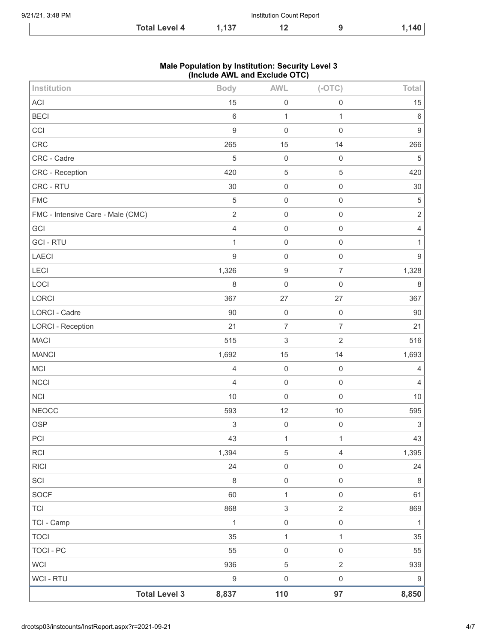| 9/21/21, 3:48 PM | Institution Count Report |      |  |  |                  |
|------------------|--------------------------|------|--|--|------------------|
|                  | <b>Total Level 4</b>     | .137 |  |  | 140 <sub>1</sub> |

## **Male Population by Institution: Security Level 3 (Include AWL and Exclude OTC)**

| Institution                       | <b>Body</b>      | <b>AWL</b>                | $(-OTC)$            | Total                     |
|-----------------------------------|------------------|---------------------------|---------------------|---------------------------|
| ACI                               | 15               | $\mathbf 0$               | $\mathbf 0$         | 15                        |
| <b>BECI</b>                       | $\,6\,$          | $\mathbf{1}$              | 1                   | $\,6\,$                   |
| CCI                               | $\boldsymbol{9}$ | $\mathbf 0$               | $\mathbf 0$         | $\boldsymbol{9}$          |
| CRC                               | 265              | 15                        | 14                  | 266                       |
| CRC - Cadre                       | $\overline{5}$   | $\mathbf 0$               | $\mathbf 0$         | $\sqrt{5}$                |
| CRC - Reception                   | 420              | $\mathbf 5$               | $\sqrt{5}$          | 420                       |
| CRC - RTU                         | 30               | $\mathbf 0$               | $\mathbf 0$         | 30                        |
| <b>FMC</b>                        | $\overline{5}$   | $\mathbf 0$               | $\mathbf 0$         | $\mathbf 5$               |
| FMC - Intensive Care - Male (CMC) | $\sqrt{2}$       | $\mathbf 0$               | $\mathbf 0$         | $\sqrt{2}$                |
| GCI                               | $\sqrt{4}$       | $\mathbf 0$               | $\mathbf 0$         | $\sqrt{4}$                |
| <b>GCI-RTU</b>                    | $\mathbf{1}$     | $\mathbf 0$               | $\mathbf 0$         | 1                         |
| LAECI                             | $\boldsymbol{9}$ | $\mathbf 0$               | $\mathbf 0$         | $\boldsymbol{9}$          |
| <b>LECI</b>                       | 1,326            | $\boldsymbol{9}$          | $\overline{7}$      | 1,328                     |
| LOCI                              | $\,8\,$          | $\mathbf 0$               | $\mathbf 0$         | $\,8\,$                   |
| LORCI                             | 367              | 27                        | 27                  | 367                       |
| <b>LORCI - Cadre</b>              | 90               | $\mathbf 0$               | $\mathbf 0$         | 90                        |
| <b>LORCI - Reception</b>          | 21               | $\boldsymbol{7}$          | $\overline{7}$      | 21                        |
| <b>MACI</b>                       | 515              | $\ensuremath{\mathsf{3}}$ | $\sqrt{2}$          | 516                       |
| <b>MANCI</b>                      | 1,692            | 15                        | 14                  | 1,693                     |
| MCI                               | $\overline{4}$   | $\mathbf 0$               | $\mathbf 0$         | $\overline{4}$            |
| <b>NCCI</b>                       | $\overline{4}$   | $\mathbf 0$               | $\mathbf 0$         | $\overline{4}$            |
| <b>NCI</b>                        | 10               | $\mathbf 0$               | $\mathbf 0$         | $10$                      |
| <b>NEOCC</b>                      | 593              | 12                        | $10$                | 595                       |
| <b>OSP</b>                        | $\sqrt{3}$       | $\mathbf 0$               | $\mathbf 0$         | $\ensuremath{\mathsf{3}}$ |
| PCI                               | 43               | $\mathbf 1$               | 1                   | 43                        |
| RCI                               | 1,394            | $\,$ 5 $\,$               | $\sqrt{4}$          | 1,395                     |
| <b>RICI</b>                       | 24               | $\mathsf{O}\xspace$       | $\mathbf 0$         | 24                        |
| SCI                               | $\,8\,$          | $\mathbf 0$               | $\mathbf 0$         | $\,8\,$                   |
| SOCF                              | 60               | $\mathbf{1}$              | $\mathsf{O}\xspace$ | 61                        |
| TCI                               | 868              | $\ensuremath{\mathsf{3}}$ | $\sqrt{2}$          | 869                       |
| TCI - Camp                        | $\mathbf{1}$     | $\mathbf 0$               | $\mathbf 0$         | $\mathbf{1}$              |
| <b>TOCI</b>                       | 35               | $\mathbf{1}$              | $\mathbf{1}$        | 35                        |
| TOCI - PC                         | 55               | $\mathbf 0$               | $\mathbf 0$         | 55                        |
| <b>WCI</b>                        | 936              | $\,$ 5 $\,$               | $\overline{2}$      | 939                       |
| WCI - RTU                         | $\boldsymbol{9}$ | $\mathbf 0$               | $\mathbf 0$         | $\boldsymbol{9}$          |
| <b>Total Level 3</b>              | 8,837            | 110                       | 97                  | 8,850                     |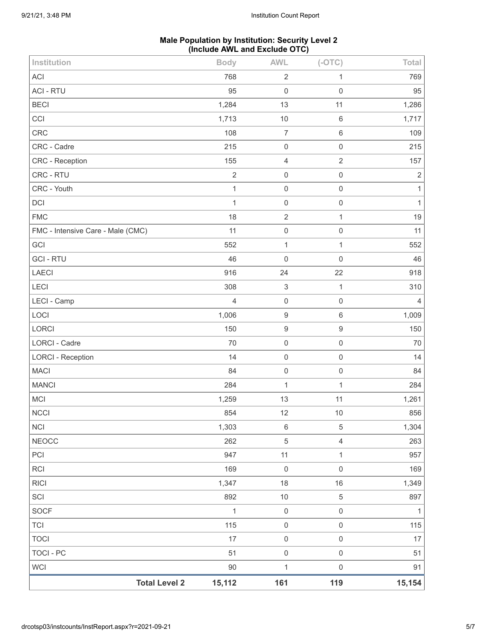## **Male Population by Institution: Security Level 2 (Include AWL and Exclude OTC)**

| <b>Total Level 2</b>              | 15,112         | 161                           | 119                 | 15,154         |
|-----------------------------------|----------------|-------------------------------|---------------------|----------------|
| <b>WCI</b>                        | $90\,$         | $\mathbf{1}$                  | $\mathsf{O}\xspace$ | 91             |
| <b>TOCI - PC</b>                  | 51             | $\mathbf 0$                   | $\mathsf{O}\xspace$ | 51             |
| <b>TOCI</b>                       | 17             | $\mathbf 0$                   | $\mathsf{O}\xspace$ | 17             |
| <b>TCI</b>                        | 115            | $\mathsf{O}\xspace$           | $\mathsf{O}\xspace$ | 115            |
| <b>SOCF</b>                       | 1              | $\,0\,$                       | $\mathsf{O}\xspace$ | $\mathbf{1}$   |
| SCI                               | 892            | $10$                          | $\,$ 5 $\,$         | 897            |
| <b>RICI</b>                       | 1,347          | 18                            | $16\,$              | 1,349          |
| <b>RCI</b>                        | 169            | $\mathbf 0$                   | $\mathsf 0$         | 169            |
| PCI                               | 947            | 11                            | $\mathbf{1}$        | 957            |
| <b>NEOCC</b>                      | 262            | $\sqrt{5}$                    | $\overline{4}$      | 263            |
| <b>NCI</b>                        | 1,303          | $\,6$                         | $\,$ 5 $\,$         | 1,304          |
| <b>NCCI</b>                       | 854            | 12                            | 10                  | 856            |
| MCI                               | 1,259          | 13                            | 11                  | 1,261          |
| <b>MANCI</b>                      | 284            | 1                             | $\mathbf{1}$        | 284            |
| <b>MACI</b>                       | 84             | $\mathbf 0$                   | $\mathsf 0$         | 84             |
| <b>LORCI - Reception</b>          | 14             | $\mathbf 0$                   | $\mathsf 0$         | 14             |
| <b>LORCI - Cadre</b>              | 70             | $\boldsymbol{0}$              | $\mathsf 0$         | 70             |
| LORCI                             | 150            | $\boldsymbol{9}$              | $\boldsymbol{9}$    | 150            |
| LOCI                              | 1,006          | $\boldsymbol{9}$              | $\,6\,$             | 1,009          |
| LECI - Camp                       | $\overline{4}$ | $\mathbf 0$                   | $\mathsf{O}\xspace$ | $\overline{4}$ |
| LECI                              | 308            | $\ensuremath{\mathsf{3}}$     | $\mathbf{1}$        | 310            |
| <b>LAECI</b>                      | 916            | 24                            | 22                  | 918            |
| <b>GCI - RTU</b>                  | 46             | $\boldsymbol{0}$              | $\mathsf 0$         | 46             |
| GCI                               | 552            | $\mathbf{1}$                  | $\mathbf{1}$        | 552            |
| FMC - Intensive Care - Male (CMC) | 11             | $\mathsf{O}\xspace$           | $\mathsf 0$         | 11             |
| <b>FMC</b>                        | 18             | $\overline{2}$                | $\mathbf{1}$        | 19             |
| DCI                               | $\mathbf 1$    | $\mathbf 0$                   | $\mathsf 0$         | $\mathbf{1}$   |
| CRC - Youth                       | $\mathbf{1}$   | $\mathbf 0$                   | $\mathsf{O}\xspace$ | $\mathbf{1}$   |
| CRC - RTU                         | $\overline{2}$ | $\mathsf 0$                   | $\mathsf 0$         | $\sqrt{2}$     |
| <b>CRC</b> - Reception            | 155            | 4                             | $\overline{2}$      | 157            |
| CRC - Cadre                       | 215            | $\mathbf 0$                   | $\mathsf 0$         | 215            |
| CRC                               | 108            | $\overline{7}$                | $\,6\,$             | 109            |
| CCI                               | 1,713          | 10                            | $\,6\,$             | 1,717          |
| <b>BECI</b>                       | 1,284          | 13                            | 11                  | 1,286          |
| <b>ACI</b><br><b>ACI - RTU</b>    | 768<br>95      | $\overline{2}$<br>$\mathbf 0$ | 1<br>$\mathbf 0$    | 769<br>95      |
|                                   |                |                               |                     |                |
| Institution                       | <b>Body</b>    | <b>AWL</b>                    | $(-OTC)$            | Total          |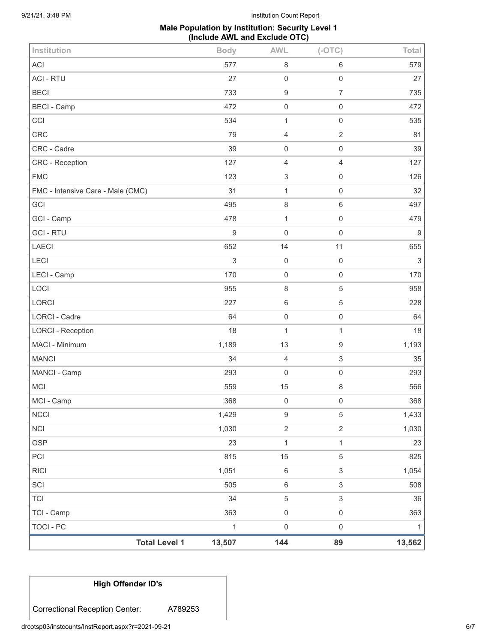## **Male Population by Institution: Security Level 1 (Include AWL and Exclude OTC)**

| Institution                       | <b>Body</b>  | <b>AWL</b>       | $(-OTC)$            | Total                     |
|-----------------------------------|--------------|------------------|---------------------|---------------------------|
| <b>ACI</b>                        | 577          | 8                | 6                   | 579                       |
| <b>ACI - RTU</b>                  | 27           | 0                | $\mathsf 0$         | 27                        |
| <b>BECI</b>                       | 733          | 9                | $\overline{7}$      | 735                       |
| <b>BECI - Camp</b>                | 472          | $\mathsf 0$      | $\mathsf 0$         | 472                       |
| CCI                               | 534          | 1                | $\mathsf{O}\xspace$ | 535                       |
| <b>CRC</b>                        | 79           | 4                | $\overline{2}$      | 81                        |
| CRC - Cadre                       | 39           | $\mathsf 0$      | $\mathsf{O}\xspace$ | 39                        |
| CRC - Reception                   | 127          | $\overline{4}$   | $\overline{4}$      | 127                       |
| <b>FMC</b>                        | 123          | 3                | 0                   | 126                       |
| FMC - Intensive Care - Male (CMC) | 31           | $\mathbf{1}$     | $\mathsf{O}\xspace$ | 32                        |
| GCI                               | 495          | $\,8\,$          | 6                   | 497                       |
| GCI - Camp                        | 478          | 1                | $\mathsf{O}\xspace$ | 479                       |
| <b>GCI-RTU</b>                    | $\mathsf g$  | 0                | $\mathsf 0$         | $9\,$                     |
| <b>LAECI</b>                      | 652          | 14               | 11                  | 655                       |
| LECI                              | 3            | $\mathbf 0$      | $\mathsf{O}\xspace$ | $\ensuremath{\mathsf{3}}$ |
| LECI - Camp                       | 170          | $\mathbf 0$      | 0                   | 170                       |
| LOCI                              | 955          | $\,8\,$          | $\mathbf 5$         | 958                       |
| <b>LORCI</b>                      | 227          | $\,6$            | $\mathbf 5$         | 228                       |
| LORCI - Cadre                     | 64           | $\mathbf 0$      | $\mathsf{O}\xspace$ | 64                        |
| <b>LORCI - Reception</b>          | 18           | $\mathbf{1}$     | $\mathbf{1}$        | 18                        |
| MACI - Minimum                    | 1,189        | 13               | 9                   | 1,193                     |
| <b>MANCI</b>                      | 34           | $\overline{4}$   | $\,$ 3 $\,$         | 35                        |
| MANCI - Camp                      | 293          | $\mathsf 0$      | $\mathsf{O}\xspace$ | 293                       |
| <b>MCI</b>                        | 559          | 15               | 8                   | 566                       |
| MCI - Camp                        | 368          | $\mathbf 0$      | 0                   | 368                       |
| <b>NCCI</b>                       | 1,429        | $\boldsymbol{9}$ | $\,$ 5 $\,$         | 1,433                     |
| NCI                               | 1,030        | $\overline{2}$   | $\overline{2}$      | 1,030                     |
| <b>OSP</b>                        | 23           | $\mathbf 1$      | $\mathbf{1}$        | 23                        |
| PCI                               | 815          | 15               | 5                   | 825                       |
| <b>RICI</b>                       | 1,051        | $\,6\,$          | $\sqrt{3}$          | 1,054                     |
| SCI                               | 505          | 6                | $\sqrt{3}$          | 508                       |
| <b>TCI</b>                        | 34           | $\,$ 5 $\,$      | $\mathfrak{S}$      | 36                        |
| TCI - Camp                        | 363          | $\mathbf 0$      | $\mathsf{O}\xspace$ | 363                       |
| <b>TOCI - PC</b>                  | $\mathbf{1}$ | $\boldsymbol{0}$ | $\mathsf{O}\xspace$ | 1                         |
| <b>Total Level 1</b>              | 13,507       | 144              | 89                  | 13,562                    |

# **High Offender ID's**

Correctional Reception Center: A789253